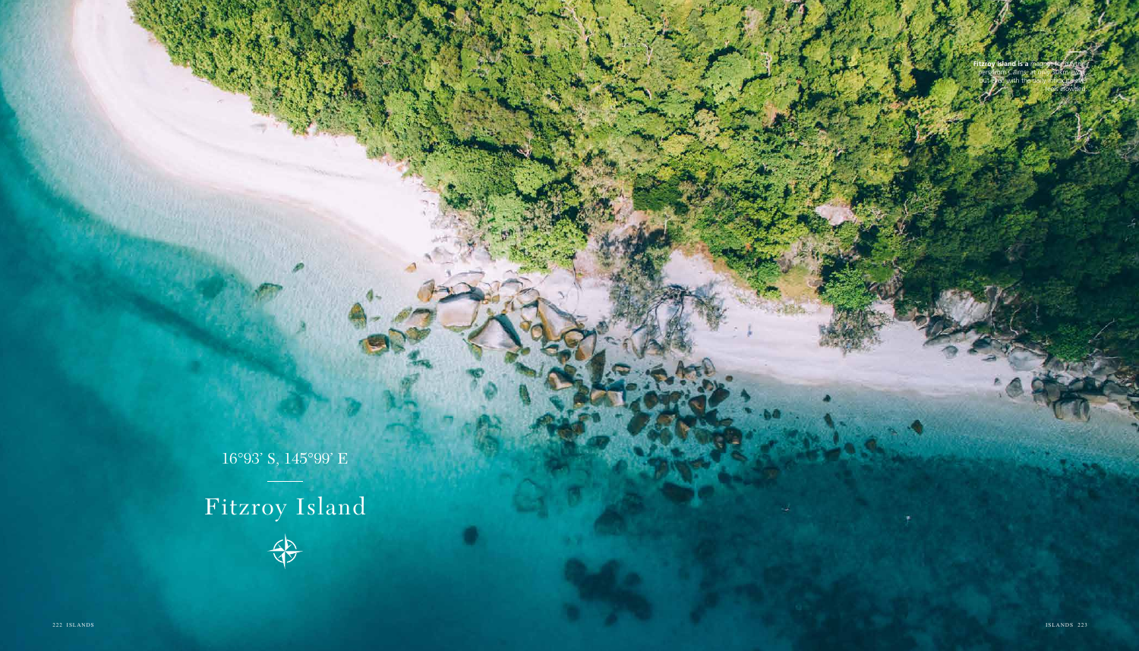## Fitzroy Island



16°93' S, 145°99' E

**Fitzroy Island is a** magnet for daytrippers from Cairns, at only 30km away, but even with the daily influx it never feels crowded.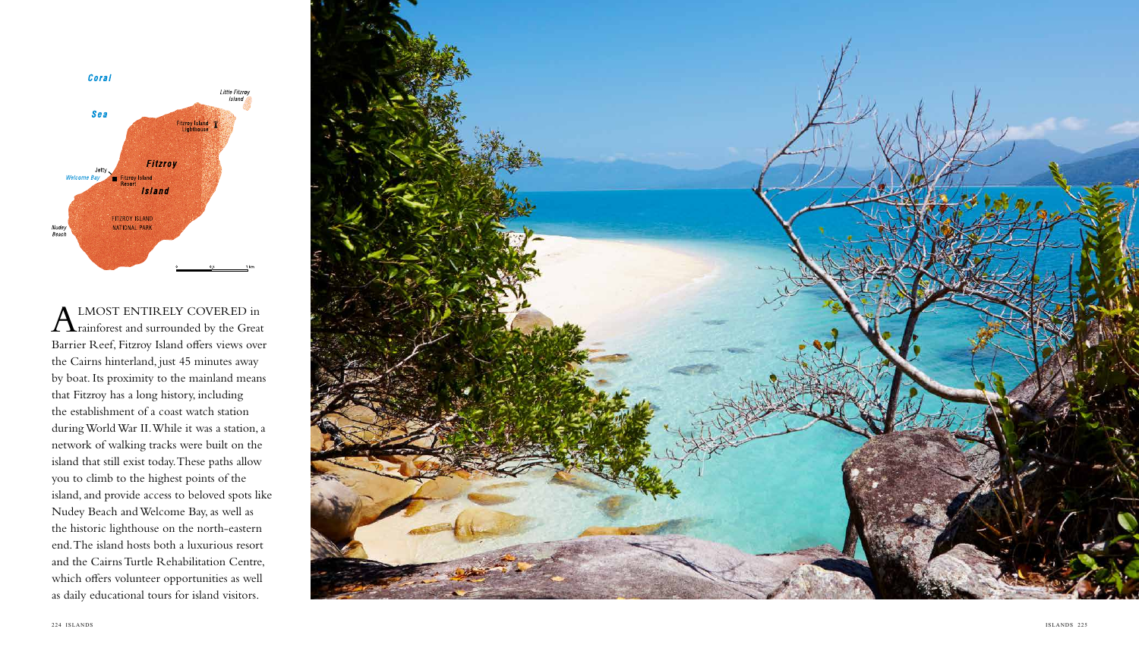



 $\Gamma$ **x** rainforest and surrounded by the Great Barrier Reef, Fitzroy Island offers views over the Cairns hinterland, just 45 minutes away by boat. Its proximity to the mainland means that Fitzroy has a long history, including the establishment of a coast watch station during World War II. While it was a station, a network of walking tracks were built on the island that still exist today. These paths allow you to climb to the highest points of the island, and provide access to beloved spots like Nudey Beach and Welcome Bay, as well as the historic lighthouse on the north-eastern end. The island hosts both a luxurious resort and the Cairns Turtle Rehabilitation Centre, which offers volunteer opportunities as well as daily educational tours for island visitors.